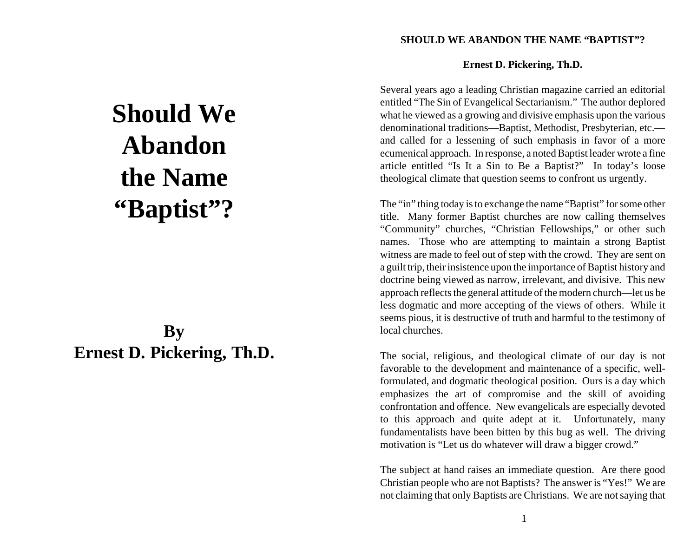# **SHOULD WE ABANDON THE NAME "BAPTIST"?**

# **Should We Abandon the Name "Baptist"?**

# **By Ernest D. Pickering, Th.D.**

### **Ernest D. Pickering, Th.D.**

Several years ago a leading Christian magazine carried an editorial entitled "The Sin of Evangelical Sectarianism." The author deplored what he viewed as a growing and divisive emphasis upon the various denominational traditions—Baptist, Methodist, Presbyterian, etc. and called for a lessening of such emphasis in favor of a more ecumenical approach. In response, a noted Baptist leader wrote a fine article entitled "Is It a Sin to Be a Baptist?" In today's loose theological climate that question seems to confront us urgently.

The "in" thing today is to exchange the name "Baptist" for some other title. Many former Baptist churches are now calling themselves "Community" churches, "Christian Fellowships," or other such names. Those who are attempting to maintain a strong Baptist witness are made to feel out of step with the crowd. They are sent on a guilt trip, their insistence upon the importance of Baptist history and doctrine being viewed as narrow, irrelevant, and divisive. This new approach reflects the general attitude of the modern church—let us be less dogmatic and more accepting of the views of others. While it seems pious, it is destructive of truth and harmful to the testimony of local churches.

The social, religious, and theological climate of our day is not favorable to the development and maintenance of a specific, wellformulated, and dogmatic theological position. Ours is a day which emphasizes the art of compromise and the skill of avoiding confrontation and offence. New evangelicals are especially devoted to this approach and quite adept at it. Unfortunately, many fundamentalists have been bitten by this bug as well. The driving motivation is "Let us do whatever will draw a bigger crowd."

The subject at hand raises an immediate question. Are there good Christian people who are not Baptists? The answer is "Yes!" We are not claiming that only Baptists are Christians. We are not saying that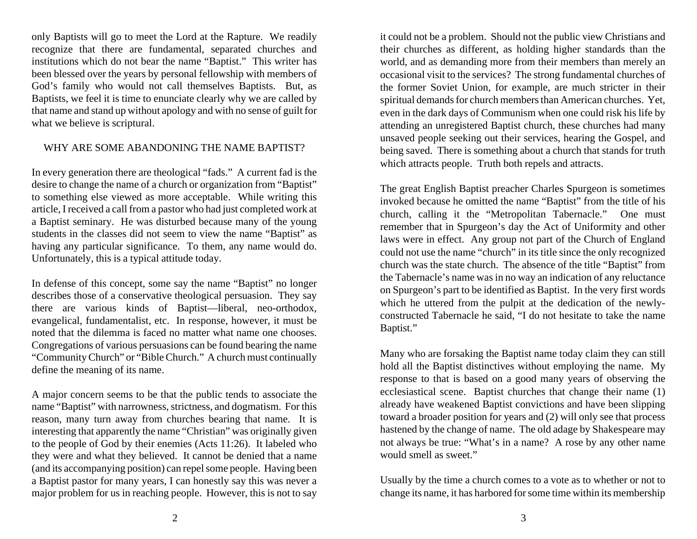only Baptists will go to meet the Lord at the Rapture. We readily recognize that there are fundamental, separated churches and institutions which do not bear the name "Baptist." This writer has been blessed over the years by personal fellowship with members of God's family who would not call themselves Baptists. But, as Baptists, we feel it is time to enunciate clearly why we are called by that name and stand up without apology and with no sense of guilt for what we believe is scriptural.

# WHY ARE SOME ABANDONING THE NAME BAPTIST?

In every generation there are theological "fads." A current fad is the desire to change the name of a church or organization from "Baptist" to something else viewed as more acceptable. While writing this article, I received a call from a pastor who had just completed work at a Baptist seminary. He was disturbed because many of the young students in the classes did not seem to view the name "Baptist" as having any particular significance. To them, any name would do. Unfortunately, this is a typical attitude today.

In defense of this concept, some say the name "Baptist" no longer describes those of a conservative theological persuasion. They say there are various kinds of Baptist—liberal, neo-orthodox, evangelical, fundamentalist, etc. In response, however, it must be noted that the dilemma is faced no matter what name one chooses. Congregations of various persuasions can be found bearing the name "Community Church" or "Bible Church." A church must continually define the meaning of its name.

A major concern seems to be that the public tends to associate the name "Baptist" with narrowness, strictness, and dogmatism. For this reason, many turn away from churches bearing that name. It is interesting that apparently the name "Christian" was originally given to the people of God by their enemies (Acts 11:26). It labeled who they were and what they believed. It cannot be denied that a name (and its accompanying position) can repel some people. Having been a Baptist pastor for many years, I can honestly say this was never a major problem for us in reaching people. However, this is not to say

it could not be a problem. Should not the public view Christians and their churches as different, as holding higher standards than the world, and as demanding more from their members than merely an occasional visit to the services? The strong fundamental churches of the former Soviet Union, for example, are much stricter in their spiritual demands for church members than American churches. Yet, even in the dark days of Communism when one could risk his life by attending an unregistered Baptist church, these churches had many unsaved people seeking out their services, hearing the Gospel, and being saved. There is something about a church that stands for truth which attracts people. Truth both repels and attracts.

The great English Baptist preacher Charles Spurgeon is sometimes invoked because he omitted the name "Baptist" from the title of his church, calling it the "Metropolitan Tabernacle." One must remember that in Spurgeon's day the Act of Uniformity and other laws were in effect. Any group not part of the Church of England could not use the name "church" in its title since the only recognized church was the state church. The absence of the title "Baptist" from the Tabernacle's name was in no way an indication of any reluctance on Spurgeon's part to be identified as Baptist. In the very first words which he uttered from the pulpit at the dedication of the newlyconstructed Tabernacle he said, "I do not hesitate to take the name Baptist."

Many who are forsaking the Baptist name today claim they can still hold all the Baptist distinctives without employing the name. My response to that is based on a good many years of observing the ecclesiastical scene. Baptist churches that change their name (1) already have weakened Baptist convictions and have been slipping toward a broader position for years and (2) will only see that process hastened by the change of name. The old adage by Shakespeare may not always be true: "What's in a name? A rose by any other name would smell as sweet."

Usually by the time a church comes to a vote as to whether or not to change its name, it has harbored for some time within its membership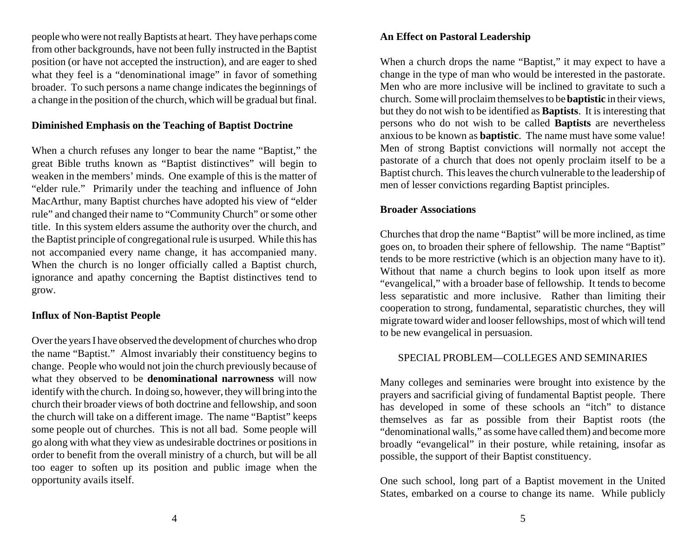people who were not really Baptists at heart. They have perhaps come from other backgrounds, have not been fully instructed in the Baptist position (or have not accepted the instruction), and are eager to shed what they feel is a "denominational image" in favor of something broader. To such persons a name change indicates the beginnings of a change in the position of the church, which will be gradual but final.

# **Diminished Emphasis on the Teaching of Baptist Doctrine**

When a church refuses any longer to bear the name "Baptist," the great Bible truths known as "Baptist distinctives" will begin to weaken in the members' minds. One example of this is the matter of "elder rule." Primarily under the teaching and influence of John MacArthur, many Baptist churches have adopted his view of "elder rule" and changed their name to "Community Church" or some other title. In this system elders assume the authority over the church, and the Baptist principle of congregational rule is usurped. While this has not accompanied every name change, it has accompanied many. When the church is no longer officially called a Baptist church, ignorance and apathy concerning the Baptist distinctives tend to grow.

# **Influx of Non-Baptist People**

Over the years I have observed the development of churches who drop the name "Baptist." Almost invariably their constituency begins to change. People who would not join the church previously because of what they observed to be **denominational narrowness** will now identify with the church. In doing so, however, they will bring into the church their broader views of both doctrine and fellowship, and soon the church will take on a different image. The name "Baptist" keeps some people out of churches. This is not all bad. Some people will go along with what they view as undesirable doctrines or positions in order to benefit from the overall ministry of a church, but will be all too eager to soften up its position and public image when the opportunity avails itself.

# **An Effect on Pastoral Leadership**

When a church drops the name "Baptist," it may expect to have a change in the type of man who would be interested in the pastorate. Men who are more inclusive will be inclined to gravitate to such a church. Some will proclaim themselves to be **baptistic** in their views, but they do not wish to be identified as **Baptists**. It is interesting that persons who do not wish to be called **Baptists** are nevertheless anxious to be known as **baptistic**. The name must have some value! Men of strong Baptist convictions will normally not accept the pastorate of a church that does not openly proclaim itself to be a Baptist church. This leaves the church vulnerable to the leadership of men of lesser convictions regarding Baptist principles.

#### **Broader Associations**

Churches that drop the name "Baptist" will be more inclined, as time goes on, to broaden their sphere of fellowship. The name "Baptist" tends to be more restrictive (which is an objection many have to it). Without that name a church begins to look upon itself as more "evangelical," with a broader base of fellowship. It tends to become less separatistic and more inclusive. Rather than limiting their cooperation to strong, fundamental, separatistic churches, they will migrate toward wider and looser fellowships, most of which will tend to be new evangelical in persuasion.

#### SPECIAL PROBLEM—COLLEGES AND SEMINARIES

Many colleges and seminaries were brought into existence by the prayers and sacrificial giving of fundamental Baptist people. There has developed in some of these schools an "itch" to distance themselves as far as possible from their Baptist roots (the "denominational walls," as some have called them) and become more broadly "evangelical" in their posture, while retaining, insofar as possible, the support of their Baptist constituency.

One such school, long part of a Baptist movement in the United States, embarked on a course to change its name. While publicly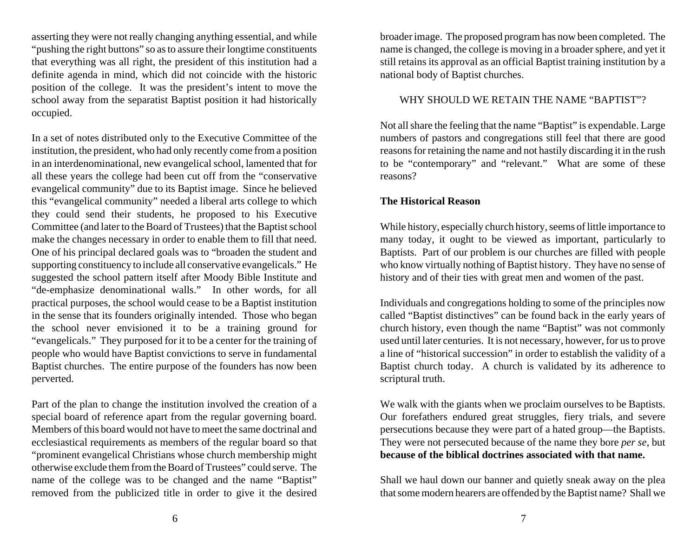asserting they were not really changing anything essential, and while "pushing the right buttons" so as to assure their longtime constituents that everything was all right, the president of this institution had a definite agenda in mind, which did not coincide with the historic position of the college. It was the president's intent to move the school away from the separatist Baptist position it had historically occupied.

In a set of notes distributed only to the Executive Committee of the institution, the president, who had only recently come from a position in an interdenominational, new evangelical school, lamented that for all these years the college had been cut off from the "conservative evangelical community" due to its Baptist image. Since he believed this "evangelical community" needed a liberal arts college to which they could send their students, he proposed to his Executive Committee (and later to the Board of Trustees) that the Baptist school make the changes necessary in order to enable them to fill that need. One of his principal declared goals was to "broaden the student and supporting constituency to include all conservative evangelicals." He suggested the school pattern itself after Moody Bible Institute and "de-emphasize denominational walls." In other words, for all practical purposes, the school would cease to be a Baptist institution in the sense that its founders originally intended. Those who began the school never envisioned it to be a training ground for "evangelicals." They purposed for it to be a center for the training of people who would have Baptist convictions to serve in fundamental Baptist churches. The entire purpose of the founders has now been perverted.

Part of the plan to change the institution involved the creation of a special board of reference apart from the regular governing board. Members of this board would not have to meet the same doctrinal and ecclesiastical requirements as members of the regular board so that "prominent evangelical Christians whose church membership might otherwise exclude them from the Board of Trustees" could serve. The name of the college was to be changed and the name "Baptist" removed from the publicized title in order to give it the desired broader image. The proposed program has now been completed. The name is changed, the college is moving in a broader sphere, and yet it still retains its approval as an official Baptist training institution by a national body of Baptist churches.

#### WHY SHOULD WE RETAIN THE NAME "BAPTIST"?

Not all share the feeling that the name "Baptist" is expendable. Large numbers of pastors and congregations still feel that there are good reasons for retaining the name and not hastily discarding it in the rush to be "contemporary" and "relevant." What are some of these reasons?

#### **The Historical Reason**

While history, especially church history, seems of little importance to many today, it ought to be viewed as important, particularly to Baptists. Part of our problem is our churches are filled with people who know virtually nothing of Baptist history. They have no sense of history and of their ties with great men and women of the past.

Individuals and congregations holding to some of the principles now called "Baptist distinctives" can be found back in the early years of church history, even though the name "Baptist" was not commonly used until later centuries. It is not necessary, however, for us to prove a line of "historical succession" in order to establish the validity of a Baptist church today. A church is validated by its adherence to scriptural truth.

We walk with the giants when we proclaim ourselves to be Baptists. Our forefathers endured great struggles, fiery trials, and severe persecutions because they were part of a hated group—the Baptists. They were not persecuted because of the name they bore *per se*, but **because of the biblical doctrines associated with that name.**

Shall we haul down our banner and quietly sneak away on the plea that some modern hearers are offended by the Baptist name? Shall we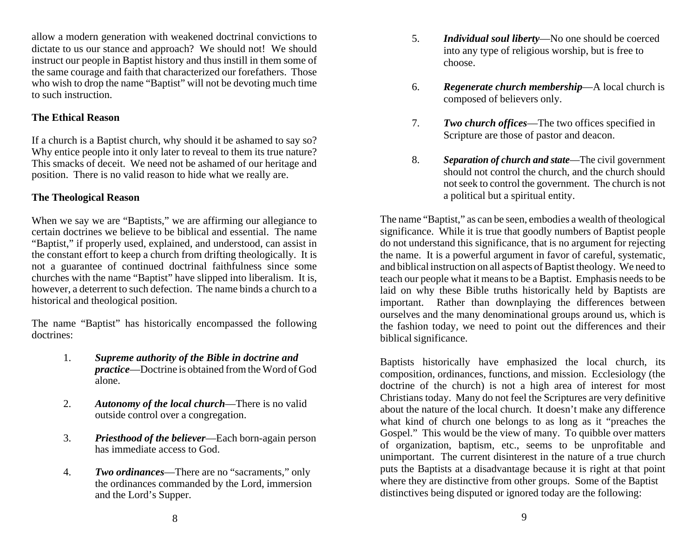allow a modern generation with weakened doctrinal convictions to dictate to us our stance and approach? We should not! We should instruct our people in Baptist history and thus instill in them some of the same courage and faith that characterized our forefathers. Those who wish to drop the name "Baptist" will not be devoting much time to such instruction.

# **The Ethical Reason**

If a church is a Baptist church, why should it be ashamed to say so? Why entice people into it only later to reveal to them its true nature? This smacks of deceit. We need not be ashamed of our heritage and position. There is no valid reason to hide what we really are.

# **The Theological Reason**

When we say we are "Baptists," we are affirming our allegiance to certain doctrines we believe to be biblical and essential. The name "Baptist," if properly used, explained, and understood, can assist in the constant effort to keep a church from drifting theologically. It is not a guarantee of continued doctrinal faithfulness since some churches with the name "Baptist" have slipped into liberalism. It is, however, a deterrent to such defection. The name binds a church to a historical and theological position.

The name "Baptist" has historically encompassed the following doctrines:

- 1. *Supreme authority of the Bible in doctrine and practice*—Doctrine is obtained from the Word of God alone.
- 2. *Autonomy of the local church*—There is no valid outside control over a congregation.
- 3. *Priesthood of the believer*—Each born-again person has immediate access to God.
- 4. *Two ordinances*—There are no "sacraments," only the ordinances commanded by the Lord, immersion and the Lord's Supper.
- 5. *Individual soul liberty*—No one should be coerced into any type of religious worship, but is free to choose.
- 6. *Regenerate church membership*—A local church is composed of believers only.
- 7. *Two church offices*—The two offices specified in Scripture are those of pastor and deacon.
- 8. *Separation of church and state*—The civil government should not control the church, and the church should not seek to control the government. The church is not a political but a spiritual entity.

The name "Baptist," as can be seen, embodies a wealth of theological significance. While it is true that goodly numbers of Baptist people do not understand this significance, that is no argument for rejecting the name. It is a powerful argument in favor of careful, systematic, and biblical instruction on all aspects of Baptist theology. We need to teach our people what it means to be a Baptist. Emphasis needs to be laid on why these Bible truths historically held by Baptists are important. Rather than downplaying the differences between ourselves and the many denominational groups around us, which is the fashion today, we need to point out the differences and their biblical significance.

Baptists historically have emphasized the local church, its composition, ordinances, functions, and mission. Ecclesiology (the doctrine of the church) is not a high area of interest for most Christians today. Many do not feel the Scriptures are very definitive about the nature of the local church. It doesn't make any difference what kind of church one belongs to as long as it "preaches the Gospel." This would be the view of many. To quibble over matters of organization, baptism, etc., seems to be unprofitable and unimportant. The current disinterest in the nature of a true church puts the Baptists at a disadvantage because it is right at that point where they are distinctive from other groups. Some of the Baptist distinctives being disputed or ignored today are the following: